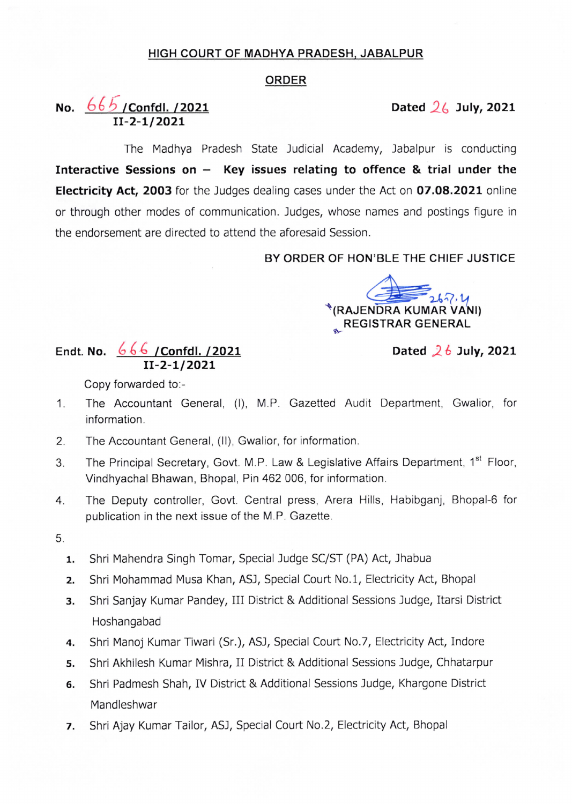## HIGH COURT OF MADHYA PRADESH, JABALPUR

## ORDER

## No. <u>665 /Confdl. /2021</u> 11-2-1/2021

Dated  $26$  July, 2021

The Madhya Pradesh State Judicial Academy, Jabalpur is conducting Interactive Sessions on  $-$  Key issues relating to offence & trial under the Electricity Act, 2003 for the Judges dealing cases under the Act on 07.08.2021 online or through other modes of communication. Judges, whose names and postings figure in the endorsement are directed to attend the aforesaid Session.

BY ORDER OF HON'BLE THE CHIEF JUSTICE

cf-i¥----: \*(RAJENDRA KUMAR VANI) **REGISTRAR GENERAL** 

## Endt. No. 666 / Confdl. /2021 11-2-1/2021

Dated  $26$  July, 2021

Copy forvarded to:-

- 1. The Accountant General, (I), M.P. Gazetted Audit Department, Gwalior, for information.
- 2. The Accountant General, (ll), Gwalior, for information.
- 3. The Principal Secretary, Govt. M.P. Law & Legislative Affairs Department, 1<sup>st</sup> Floor, Vindhyachal Bhawan, Bhopal, Pin 462 006, for information.
- 4. The Deputy controller, Govt. Central press, Arera Hills, Habibganj, Bhopal-6 for publication in the next issue of the M.P. Gazette.
- 5.
	- 1. Shri Mahendra Singh Tomar, Special Judge SC/ST (PA) Act, Jhabua
	- 2. Shri Mohammad Musa Khan, ASJ, Special Court No.1, Electricity Act, Bhopal
	- 3. Shri Sanjay Kumar Pandey, Ill District & Additional Sessions Judge, Itarsi District Hoshangabad
	- 4. Shri Manoj Kumar Tiwari (Sr.), ASJ, Special Court No.7, Electricity Act, Indore
	- 5. Shri Akhilesh Kumar Mishra, II District & Additional sessions Judge, Chhatarpur
	- 6. Shri padmesh shah, IV District & Additional sessions Judge, Khargone District Mandleshwar
	- 7. Shri Ajay Kumar Tailor, ASJ, Special court No.2, Electricity Act, Bhopal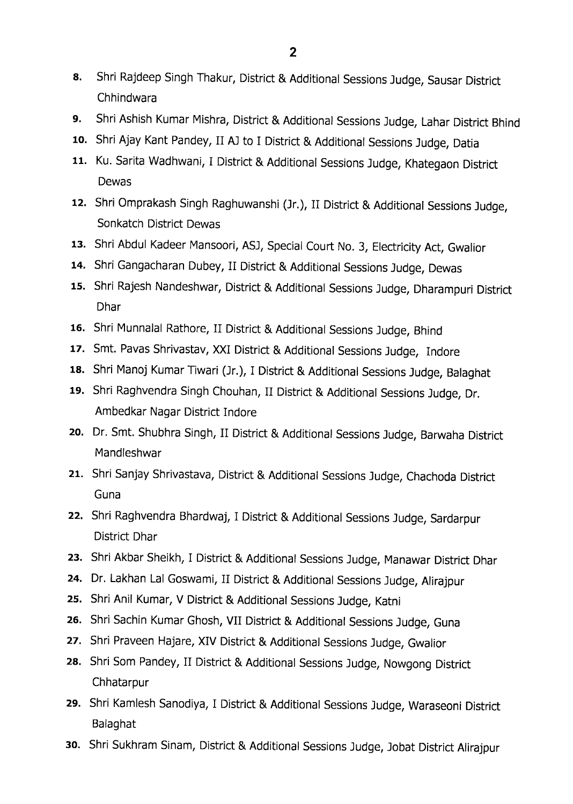- 8. Shri Rajdeep Singh Thakur, District & Additional Sessions Judge, Sausar District Chhindwara
- 9. Shri Ashish Kumar Mishra, District & Additional sessions Judge, Lahar District Bhind
- 10. Shri Ajay Kant Pandey, II AJ to I District & Additional Sessions Judge, Datia
- 11. Ku. Sarita Wadhwani, I District & Additional Sessions Judge, Khategaon District Dewas
- 12. Shri Omprakash Singh Raghuwanshi (Jr.), 11 District & Additional Sessions Judge, Sonkatch District Dewas
- 13. Shri Abdul Kadeer Mansoori, ASJ, Special Court No. 3, Electricity Act, Gwalior
- 14. Shri Gangacharan Dubey, 11 District & Additional Sessions Judge, Dewas
- 15. Shri Rajesh Nandeshwar, District & Additional Sessions Judge, Dharampuri District Dhar
- 16. Shri Munnalal Rathore, II District & Additional Sessions Judge, Bhind
- 17. Smt. Pavas Shrivastav, XXI District & Additional Sessions Judge, Indore
- 18. Shri Manoj Kumar Tiwari (Jr.), I District & Additional Sessions Judge, Balaghat
- 19. Shri Raghvendra Singh Chouhan, 11 District & Additional Sessions Judge, Dr. Ambedkar Nagar District Indore
- 2o. Dr. Smt. Shubhra Singh, 11 District & Additional Sessions Judge, Barwaha District Mandleshwar
- 21. Shri Sanjay Shrivastava, District & Additional Sessions Judge, Chachoda District Guna
- 22. Shri Raghvendra Bhardwaj, I District & Additional Sessions Judge, Sardarpur District Dhar
- 23. Shri Akbar Sheikh, I District & Additional Sessions Judge, Manawar District Dhar
- 24. Dr. Lakhan Lal Goswami, II District & Additional Sessions Judge, Alirajpur
- 25. Shri Anil Kumar, V District & Additional Sessions Judge, Katni
- 26. Shri Sachin Kumar Ghosh, VII District & Additional Sessions Judge, Guna
- 27. Shri Praveen Hajare, XIV District & Additional Sessions Judge, Gwalior
- 28. Shri Som Pandey, 11 District & Additional Sessions Judge, Nowgong District Chhatarpur
- 29. Shri Kamlesh Sanodiya, I District & Additional Sessions Judge, Waraseoni District Balaghat
- 3o. Shri Sukhram Sinam, District & Additional Sessions Judge, Jobat District Alirajpur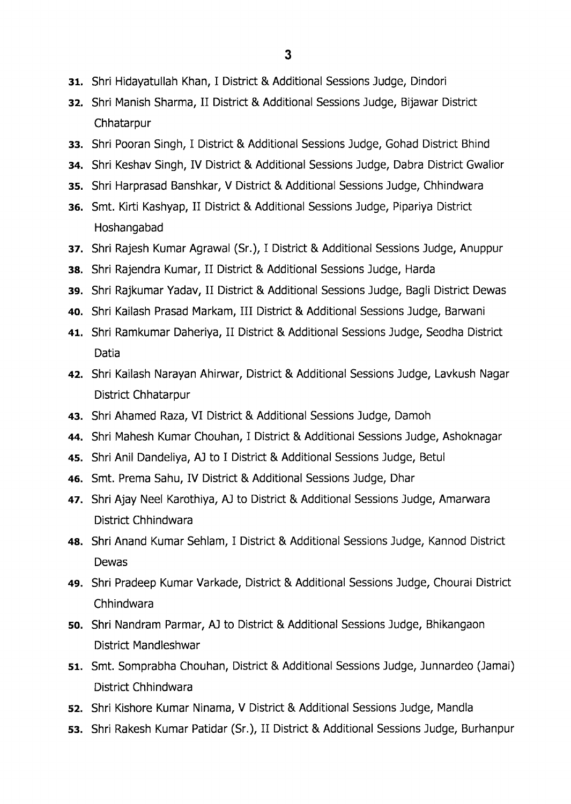- 31. Shri Hidayatullah Khan, I District & Additional Sessions Judge, Dindori
- 32. Shri Manish Sharma, II District & Additional Sessions Judge, Bijawar District Chhatarpur
- 33. Shri Pooran Singh, I District & Additional Sessions Judge, Gohad District Bhind
- 34. Shri Keshav Singh, IV District & Additional Sessions Judge, Dabra District Gwalior
- 35. Shri Harprasad Banshkar, V District & Additional Sessions Judge, Chhindwara
- 36. Smt. Kirti Kashyap, II District & Additional Sessions Judge, Pipariya District Hoshangabad
- 37. Shri Rajesh Kumar Agrawal (Sr.), I District & Additional Sessions Judge, Anuppur
- 38. Shri Rajendra Kumar, II District & Additional Sessions Judge, Harda
- 39. Shri Rajkumar Yadav, II District & Additional Sessions Judge, Bagli District Dewas
- 40. Shri Kailash Prasad Markam, III District & Additional Sessions Judge, Barwani
- 41. Shri Ramkumar Daheriya, 11 District & Additional Sessions Judge, Seodha District Datia
- 42. Shri Kailash Narayan Ahirwar, District & Additional Sessions Judge, Lavkush Nagar District Chhatarpur
- 43. Shri Ahamed Raza, VI District & Additional Sessions Judge, Damoh
- 44. Shri Mahesh Kumar Chouhan, I District & Additional Sessions Judge, Ashoknagar
- 45. Shri Anil Dandeliya, AI to I District & Additional Sessions Judge, Betul
- 46. Smt. Prema Sahu, IV District & Additional Sessions Judge, Dhar
- 47. Shri Ajay Neel Karothiya, AI to District & Additional Sessions Judge, Amarwara District Chhindwara
- 48. Shri Anand Kumar Sehlam, I District & Additional Sessions Judge, Kannod District Dewas
- 49. Shri Pradeep Kumar Varkade, District & Additional Sessions Judge, Chourai District Chhindwara
- 5o. Shri Nandram Parmar, AJ to District & Additional Sessions Judge, Bhikangaon District Mandleshwar
- 51. Smt. Somprabha Chouhan, District & Additional Sessions Judge, Junnardeo (Jamai) District Chhindwara
- 52. Shri Kishore Kumar Ninama, V District & Additional Sessions Judge, Mandla
- 53. Shri Rakesh Kumar Patidar (Sr.), II District & Additional Sessions Judge, Burhanpur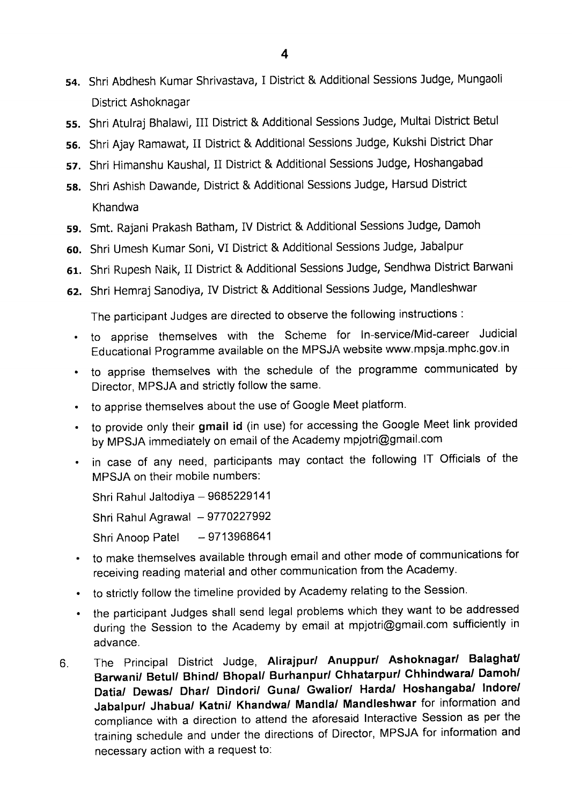- 54. Shri Abdhesh Kumar Shrivastava, I District & Additional Sessions Judge, Mungaoli District Ashoknagar
- 55. Shri Atulraj Bhalawi, III District & Additional Sessions Judge, Multai District Betul
- 56. Shri Ajay Ramawat, 11 District & Additional Sessions Judge, Kukshi District Dhar
- 57. Shri Himanshu Kaushal, 11 District & Additional Sessions Judge, Hoshangabad
- 58. Shri Ashish Dawande, District & Additional Sessions Judge, Harsud District Khandwa
- 59. Smt, Rajani Prakash Batham, IV District & Additional Sessions Judge, Damoh
- 6o. Shri Umesh Kumar Soni, VI District & Additional Sessions Judge, Jabalpur
- 61. Shri Rupesh Naik, 11 District & Additional Sessions Judge, Sendhwa District Barwani
- 62. Shri Hemraj Sanodiya, IV District & Additional Sessions Judge, Mandleshwar

The participant Judges are directed to observe the following instructions :

- to apprise themselves with the Scheme for ln-service/Mid-career Judicial Educational Programme available on the MPSJA website www.mpsja.mphc.gov.in
- to apprise themselves with the schedule of the programme communicated by Director, MPSJA and strictly follow the same.
- to apprise themselves about the use of Google Meet platform.
- to provide only their gmail id (in use) for accessing the Google Meet link provided by MPSJA immediately on email of the Academy mpjotri@gmail.com
- in case of any need, participants may contact the following IT Officials of the MPSJA on their mobile numbers:

Shri Rahul Jaltodiya - 9685229141 Shri Rahul Agrawal  $-9770227992$ Shri Anoop Patel - 9713968641

- to make themselves available through email and other mode of communications for receiving reading material and other communication from the Academy.
- to strictly follow the timeline provided by Academy relating to the Session.
- the participant Judges shall send legal problems which they want to be addressed during the Session to the Academy by email at mpjotri@gmail.com sufficiently in advance.
- 6. The Principal District Judge, Alirajpur/ Anuppur/ Ashoknagar/ Balaghat/ Barwani/ Betul/ Bhind/ Bhopal/ Burhanpur/ Chhatarpur/ Chhindwara/ Damoh/ Datia/ Dewas/ Dhar/ Dindori/ Guna/ Gwalior/ Harda/ Hoshangaba/ Indore/ Jabalpur/ Jhabua/ Katni/ Khandwa/ Mandla/ Mandleshwar for information and compliance with a direction to attend the aforesaid Interactive Session as per the training schedule and under the directions of Director, MPSJA for information and necessary action with a request to: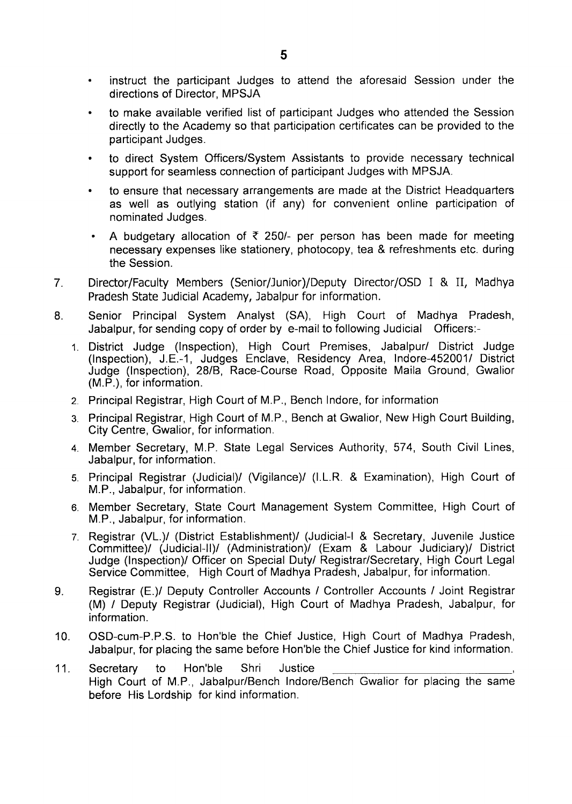- instruct the participant Judges to attend the aforesaid Session under the directions of Director, MPSJA
- to make available verified list of participant Judges who attended the Session directly to the Academy so that participation certificates can be provided to the participant Judges.
- to direct System Officers/System Assistants to provide necessary technical support for seamless connection of participant Judges with MPSJA.
- to ensure that necessary arrangements are made at the District Headquarters as well as outlying station (if any) for convenient online participation of nominated Judges.
- A budgetary allocation of  $\bar{\tau}$  250/- per person has been made for meeting necessary expenses like stationery, photocopy, tea & refreshments etc. during the Session.
- 7. Director/Faculty Members (Senior/Junior)/Deputy Director/OSD I & 11, Madhya Pradesh State Judicial Academy, Jabalpur for information.
- 8. Senior Principal System Analyst (SA), High Court of Madhya Pradesh, Jabalpur, for sending copy of order by e-mail to following Judicial Officers:-
	- 1. District Judge (Inspection), High Court Premises, Jabalpur/ District Judge Inspection), J.E.-1, Judges Enclave, Residency Area, Indore-452001/ District udge (Inspection), 28/8, Race-Course Road, Opposite Maila Ground, Gwalior M.P.), for information
	- 2. Principal Registrar, High Court of M.P., Bench lndore, for information
	- 3. Principal Registrar, High Court of M.P., Bench at Gwalior, New High Court Building, City Centre, Gwalior, for information.
	- 4. Member Secretary, M.P. State Legal Services Authority, 574, South Civil Lines, Jabalpur, for information.
	- 5. Principal Registrar (Judicial)/ (Vigilance)/ (I.L.R. & Examination), High Court of M.P., Jabalpur, for information.
	- 6. Member Secretary, State Court Management System Committee, High Court of M.P., Jabalpur, for information.
	- 7. Registrar (VL.)/ (District Establishment)/ (Judicial-I & Secretary, Juvenile Justice Committee)/ (Judicial-Il)/ (Administration)/ (Exam & Labour Judiciary)/ District Judge (Inspection)/ Officer on Special Duty/ Registrar/Secretary, High Court Legal Service Committee, High Court of Madhya Pradesh, Jabalpur, for information.
- 9. Registrar (E.)/ Deputy controller Accounts / Controller Accounts / Joint Registrar (M) / Deputy Registrar (Judicial), High Court of Madhya Pradesh, Jabalpur, for information.
- 10. OSD-cum-P.P.S. to Hon'ble the Chief Justice, High Court of Madhya Pradesh, Jabalpur, for placing the same before Hon'ble the Chief Justice for kind information.
- 11. Secretary to Hon'ble Shri Justice High Court of M.P., Jabalpur/Bench lndore/Bench Gwalior for placing the same before His Lordship for kind information.